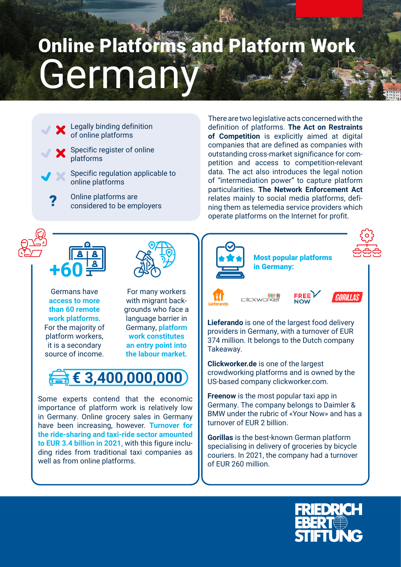## German Online Platforms and Platform Work



There are two legislative acts concerned with the definition of platforms. **The Act on Restraints of Competition** is explicitly aimed at digital companies that are defined as companies with outstanding cross-market significance for competition and access to competition-relevant data. The act also introduces the legal notion of "intermediation power" to capture platform particularities. **The Network Enforcement Act**  relates mainly to social media platforms, defining them as telemedia service providers which operate platforms on the Internet for profit.



**access to more than 60 remote work platforms**. For the majority of platform workers, it is a secondary source of income.

with migrant backgrounds who face a language barrier in Germany, **platform work constitutes an entry point into the labour market.**



Some experts contend that the economic importance of platform work is relatively low in Germany. Online grocery sales in Germany have been increasing, however. **Turnover for the ride-sharing and taxi-ride sector amounted to EUR 3.4 billion in 2021,** with this figure including rides from traditional taxi companies as well as from online platforms.

Most popular platforms in Germany:



clickworker



**Lieferando** is one of the largest food delivery providers in Germany, with a turnover of EUR 374 million. It belongs to the Dutch company Takeaway.

**Clickworker.de** is one of the largest crowdworking platforms and is owned by the US-based company clickworker.com.

**Freenow** is the most popular taxi app in Germany. The company belongs to Daimler & BMW under the rubric of «Your Now» and has a turnover of EUR 2 billion.

**Gorillas** is the best-known German platform specialising in delivery of groceries by bicycle couriers. In 2021, the company had a turnover of EUR 260 million.